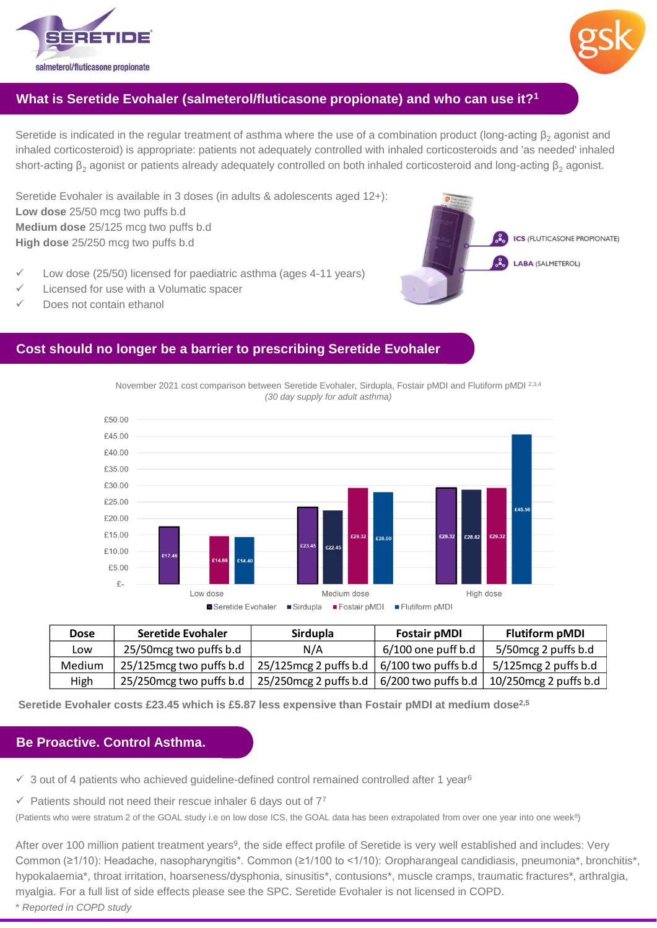



# **What is Seretide Evohaler (salmeterol/fluticasone propionate) and who can use it?<sup>1</sup>**

Seretide is indicated in the regular treatment of asthma where the use of a combination product (long-acting  $\beta_2$  agonist and inhaled corticosteroid) is appropriate: patients not adequately controlled with inhaled corticosteroids and 'as needed' inhaled short-acting β<sub>2</sub> agonist or patients already adequately controlled on both inhaled corticosteroid and long-acting β<sub>2</sub> agonist.

Seretide Evohaler is available in 3 doses (in adults & adolescents aged 12+): **Low dose** 25/50 mcg two puffs b.d **Medium dose** 25/125 mcg two puffs b.d **High dose** 25/250 mcg two puffs b.d

- Low dose (25/50) licensed for paediatric asthma (ages 4-11 years)
- Licensed for use with a Volumatic spacer
- Does not contain ethanol



## **Cost should no longer be a barrier to prescribing Seretide Evohaler**

November 2021 cost comparison between Seretide Evohaler, Sirdupla, Fostair pMDI and Flutiform pMDI 2,3,4 *(30 day supply for adult asthma)*



| <b>Dose</b> | <b>Seretide Evohaler</b> | Sirdupla                 | <b>Fostair pMDI</b>   | <b>Flutiform pMDI</b>   |
|-------------|--------------------------|--------------------------|-----------------------|-------------------------|
| Low         | 25/50 mcg two puffs b.d  | N/A                      | $6/100$ one puff b.d  | 5/50 mcg 2 puffs b.d    |
| Medium      | 25/125 mcg two puffs b.d | $25/125$ mcg 2 puffs b.d | $6/100$ two puffs b.d | $5/125$ mcg 2 puffs b.d |
| High        | 25/250 mcg two puffs b.d | 25/250mcg 2 puffs b.d    | 6/200 two puffs b.d   | 10/250mcg 2 puffs b.d   |

**Seretide Evohaler costs £23.45 which is £5.87 less expensive than Fostair pMDI at medium dose2,5**

### **Be Proactive. Control Asthma.**

- $\checkmark$  3 out of 4 patients who achieved guideline-defined control remained controlled after 1 year<sup>6</sup>
- $\checkmark$  Patients should not need their rescue inhaler 6 days out of  $7^7$

(Patients who were stratum 2 of the GOAL study i.e on low dose ICS, the GOAL data has been extrapolated from over one year into one week<sup>8</sup>)

After over 100 million patient treatment years<sup>9</sup>, the side effect profile of Seretide is very well established and includes: Very Common (≥1/10): Headache, nasopharyngitis\*. Common (≥1/100 to <1/10): Oropharangeal candidiasis, pneumonia\*, bronchitis\*, hypokalaemia\*, throat irritation, hoarseness/dysphonia, sinusitis\*, contusions\*, muscle cramps, traumatic fractures\*, arthralgia, myalgia. For a full list of side effects please see the SPC. Seretide Evohaler is not licensed in COPD.

\* *Reported in COPD study*